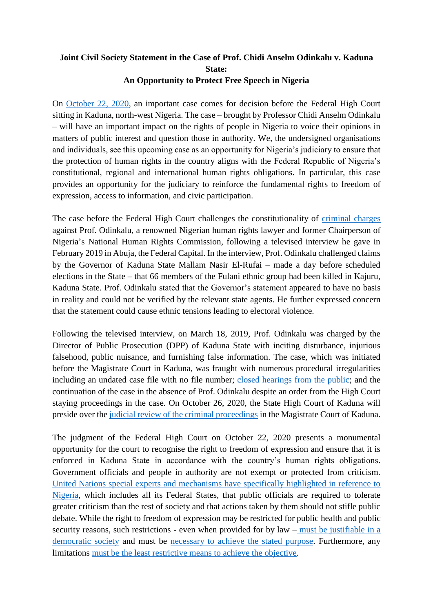## **Joint Civil Society Statement in the Case of Prof. Chidi Anselm Odinkalu v. Kaduna State: An Opportunity to Protect Free Speech in Nigeria**

On [October 22, 2020,](https://www.thisdaylive.com/index.php/2020/07/26/court-reserves-judgment-in-odinkalus-suit-against-kaduna-state/) an important case comes for decision before the Federal High Court sitting in Kaduna, north-west Nigeria. The case – brought by Professor Chidi Anselm Odinkalu – will have an important impact on the rights of people in Nigeria to voice their opinions in matters of public interest and question those in authority. We, the undersigned organisations and individuals, see this upcoming case as an opportunity for Nigeria's judiciary to ensure that the protection of human rights in the country aligns with the Federal Republic of Nigeria's constitutional, regional and international human rights obligations. In particular, this case provides an opportunity for the judiciary to reinforce the fundamental rights to freedom of expression, access to information, and civic participation.

The case before the Federal High Court challenges the constitutionality of [criminal charges](https://www.icirnigeria.org/chidi-odinkalu-invited-by-police-over-allegations-of-inciting-public-disturbance-by-kaduna-govt/) against Prof. Odinkalu, a renowned Nigerian human rights lawyer and former Chairperson of Nigeria's National Human Rights Commission, following a televised interview he gave in February 2019 in Abuja, the Federal Capital. In the interview, Prof. Odinkalu challenged claims by the Governor of Kaduna State Mallam Nasir El-Rufai – made a day before scheduled elections in the State – that 66 members of the Fulani ethnic group had been killed in Kajuru, Kaduna State. Prof. Odinkalu stated that the Governor's statement appeared to have no basis in reality and could not be verified by the relevant state agents. He further expressed concern that the statement could cause ethnic tensions leading to electoral violence.

Following the televised interview, on March 18, 2019, Prof. Odinkalu was charged by the Director of Public Prosecution (DPP) of Kaduna State with inciting disturbance, injurious falsehood, public nuisance, and furnishing false information. The case, which was initiated before the Magistrate Court in Kaduna, was fraught with numerous procedural irregularities including an undated case file with no file number; closed hearings [from the public;](https://allafrica.com/stories/201910110081.html) and the continuation of the case in the absence of Prof. Odinkalu despite an order from the High Court staying proceedings in the case. On October 26, 2020, the State High Court of Kaduna will preside over the [judicial review of the criminal proceedings](https://www.vanguardngr.com/2020/01/incitement-trial-court-grants-odinkalu-leave-to-seek-judicial-review/) in the Magistrate Court of Kaduna.

The judgment of the Federal High Court on October 22, 2020 presents a monumental opportunity for the court to recognise the right to freedom of expression and ensure that it is enforced in Kaduna State in accordance with the country's human rights obligations. Government officials and people in authority are not exempt or protected from criticism. [United Nations special experts and mechanisms have specifically highlighted in reference to](https://spcommreports.ohchr.org/TMResultsBase/DownLoadPublicCommunicationFile?gId=24842)  [Nigeria,](https://spcommreports.ohchr.org/TMResultsBase/DownLoadPublicCommunicationFile?gId=24842) which includes all its Federal States, that public officials are required to tolerate greater criticism than the rest of society and that actions taken by them should not stifle public debate. While the right to freedom of expression may be restricted for public health and public security reasons, such restrictions - even when provided for by law  $-\frac{must be justified}}{but if able in a}$ [democratic society](https://www2.ohchr.org/english/bodies/hrc/docs/GC34.pdf) and must be [necessary to achieve the stated purpose.](https://www2.ohchr.org/english/bodies/hrc/docs/GC34.pdf) Furthermore, any limitations must be the least restrictive [means to achieve the objective.](file:///C:/Users/muluk/Downloads/Declaration%20of%20Principles%20on%20Freedom%20of%20Expression_ENG_2019%20(1).pdf)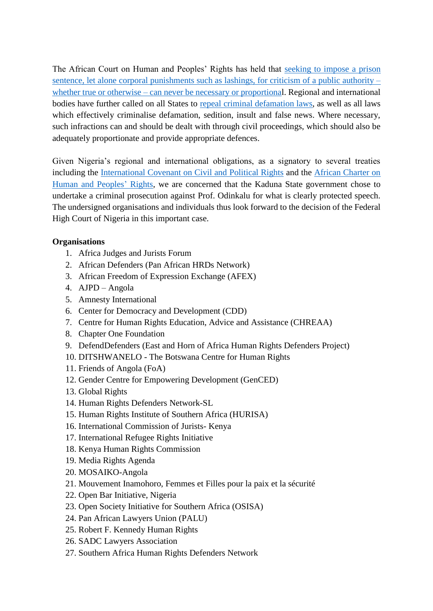The African Court on Human and Peoples' Rights has held that [seeking to impose](https://www.african-court.org/en/images/Publications/English%20Law%20Reports%20FF%20for%20printing.pdf) a prison [sentence, let alone corporal punishments such as lashings,](https://www.african-court.org/en/images/Publications/English%20Law%20Reports%20FF%20for%20printing.pdf) for criticism of a public authority – whether true or otherwise – [can never be necessary or proportional](https://www.african-court.org/en/images/Publications/English%20Law%20Reports%20FF%20for%20printing.pdf). Regional and international bodies have further called on all States to [repeal criminal defamation laws,](https://www.achpr.org/legalinstruments/detail?id=69) as well as all laws which effectively criminalise defamation, sedition, insult and false news. Where necessary, such infractions can and should be dealt with through civil proceedings, which should also be adequately proportionate and provide appropriate defences.

Given Nigeria's regional and international obligations, as a signatory to several treaties including the [International Covenant on Civil and Political Rights](https://www.ohchr.org/EN/ProfessionalInterest/Pages/CCPR.aspx) and the [African Charter on](https://www.achpr.org/legalinstruments/detail?id=49)  [Human and Peoples'](https://www.achpr.org/legalinstruments/detail?id=49) Rights, we are concerned that the Kaduna State government chose to undertake a criminal prosecution against Prof. Odinkalu for what is clearly protected speech. The undersigned organisations and individuals thus look forward to the decision of the Federal High Court of Nigeria in this important case.

## **Organisations**

- 1. Africa Judges and Jurists Forum
- 2. African Defenders (Pan African HRDs Network)
- 3. African Freedom of Expression Exchange (AFEX)
- 4. AJPD Angola
- 5. Amnesty International
- 6. Center for Democracy and Development (CDD)
- 7. Centre for Human Rights Education, Advice and Assistance (CHREAA)
- 8. Chapter One Foundation
- 9. DefendDefenders (East and Horn of Africa Human Rights Defenders Project)
- 10. DITSHWANELO The Botswana Centre for Human Rights
- 11. Friends of Angola (FoA)
- 12. Gender Centre for Empowering Development (GenCED)
- 13. Global Rights
- 14. Human Rights Defenders Network-SL
- 15. Human Rights Institute of Southern Africa (HURISA)
- 16. International Commission of Jurists- Kenya
- 17. International Refugee Rights Initiative
- 18. Kenya Human Rights Commission
- 19. Media Rights Agenda
- 20. MOSAIKO-Angola
- 21. Mouvement Inamohoro, Femmes et Filles pour la paix et la sécurité
- 22. Open Bar Initiative, Nigeria
- 23. Open Society Initiative for Southern Africa (OSISA)
- 24. Pan African Lawyers Union (PALU)
- 25. Robert F. Kennedy Human Rights
- 26. SADC Lawyers Association
- 27. Southern Africa Human Rights Defenders Network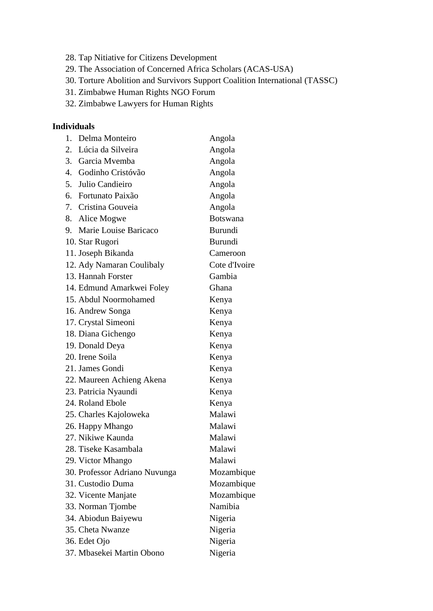- 28. Tap Nitiative for Citizens Development
- 29. The Association of Concerned Africa Scholars (ACAS-USA)
- 30. Torture Abolition and Survivors Support Coalition International (TASSC)
- 31. Zimbabwe Human Rights NGO Forum
- 32. Zimbabwe Lawyers for Human Rights

## **Individuals**

| 1. | Delma Monteiro                | Angola          |
|----|-------------------------------|-----------------|
| 2. | Lúcia da Silveira             | Angola          |
| 3. | Garcia Mvemba                 | Angola          |
|    | 4. Godinho Cristóvão          | Angola          |
|    | 5. Julio Candieiro            | Angola          |
|    | 6. Fortunato Paixão           | Angola          |
|    | 7. Cristina Gouveia           | Angola          |
| 8. | Alice Mogwe                   | <b>Botswana</b> |
| 9. | Marie Louise Baricaco         | Burundi         |
|    | 10. Star Rugori               | Burundi         |
|    | 11. Joseph Bikanda            | Cameroon        |
|    | 12. Ady Namaran Coulibaly     | Cote d'Ivoire   |
|    | 13. Hannah Forster            | Gambia          |
|    | 14. Edmund Amarkwei Foley     | Ghana           |
|    | 15. Abdul Noormohamed         | Kenya           |
|    | 16. Andrew Songa              | Kenya           |
|    | 17. Crystal Simeoni           | Kenya           |
|    | 18. Diana Gichengo            | Kenya           |
|    | 19. Donald Deya               | Kenya           |
|    | 20. Irene Soila               | Kenya           |
|    | 21. James Gondi               | Kenya           |
|    | 22. Maureen Achieng Akena     | Kenya           |
|    | 23. Patricia Nyaundi          | Kenya           |
|    | 24. Roland Ebole              | Kenya           |
|    | 25. Charles Kajoloweka        | Malawi          |
|    | 26. Happy Mhango              | Malawi          |
|    | 27. Nikiwe Kaunda             | Malawi          |
|    | 28. Tiseke Kasambala          | Malawi          |
|    | 29. Victor Mhango             | Malawi          |
|    | 30. Professor Adriano Nuvunga | Mozambique      |
|    | 31. Custodio Duma             | Mozambique      |
|    | 32. Vicente Manjate           | Mozambique      |
|    | 33. Norman Tjombe             | Namibia         |
|    | 34. Abiodun Baiyewu           | Nigeria         |
|    | 35. Cheta Nwanze              | Nigeria         |
|    | 36. Edet Ojo                  | Nigeria         |
|    | 37. Mbasekei Martin Obono     | Nigeria         |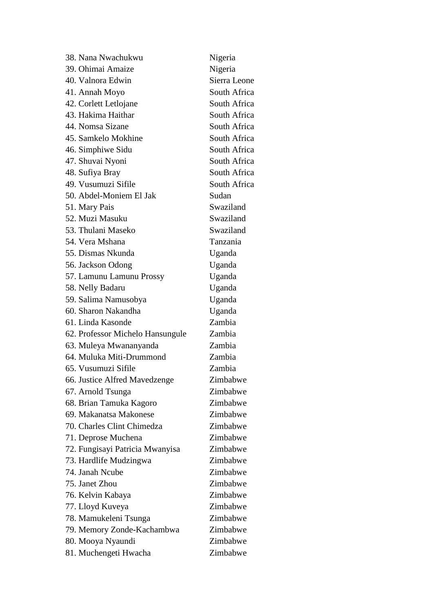| 38. Nana Nwachukwu               | Nigeria      |
|----------------------------------|--------------|
| 39. Ohimai Amaize                | Nigeria      |
| 40. Valnora Edwin                | Sierra Leone |
| 41. Annah Moyo                   | South Africa |
| 42. Corlett Letlojane            | South Africa |
| 43. Hakima Haithar               | South Africa |
| 44. Nomsa Sizane                 | South Africa |
| 45. Samkelo Mokhine              | South Africa |
| 46. Simphiwe Sidu                | South Africa |
| 47. Shuvai Nyoni                 | South Africa |
| 48. Sufiya Bray                  | South Africa |
| 49. Vusumuzi Sifile              | South Africa |
| 50. Abdel-Moniem El Jak          | Sudan        |
| 51. Mary Pais                    | Swaziland    |
| 52. Muzi Masuku                  | Swaziland    |
| 53. Thulani Maseko               | Swaziland    |
| 54. Vera Mshana                  | Tanzania     |
| 55. Dismas Nkunda                | Uganda       |
| 56. Jackson Odong                | Uganda       |
| 57. Lamunu Lamunu Prossy         | Uganda       |
| 58. Nelly Badaru                 | Uganda       |
| 59. Salima Namusobya             | Uganda       |
| 60. Sharon Nakandha              | Uganda       |
| 61. Linda Kasonde                | Zambia       |
| 62. Professor Michelo Hansungule | Zambia       |
| 63. Muleya Mwananyanda           | Zambia       |
| 64. Muluka Miti-Drummond         | Zambia       |
| 65. Vusumuzi Sifile              | Zambia       |
| 66. Justice Alfred Mavedzenge    | Zimbabwe     |
| 67. Arnold Tsunga                | Zimbabwe     |
| 68. Brian Tamuka Kagoro          | Zimbabwe     |
| 69. Makanatsa Makonese           | Zimbabwe     |
| 70. Charles Clint Chimedza       | Zimbabwe     |
| 71. Deprose Muchena              | Zimbabwe     |
| 72. Fungisayi Patricia Mwanyisa  | Zimbabwe     |
| 73. Hardlife Mudzingwa           | Zimbabwe     |
| 74. Janah Ncube                  | Zimbabwe     |
| 75. Janet Zhou                   | Zimbabwe     |
| 76. Kelvin Kabaya                | Zimbabwe     |
| 77. Lloyd Kuveya                 | Zimbabwe     |
| 78. Mamukeleni Tsunga            | Zimbabwe     |
| 79. Memory Zonde-Kachambwa       | Zimbabwe     |
| 80. Mooya Nyaundi                | Zimbabwe     |
| 81. Muchengeti Hwacha            | Zimbabwe     |